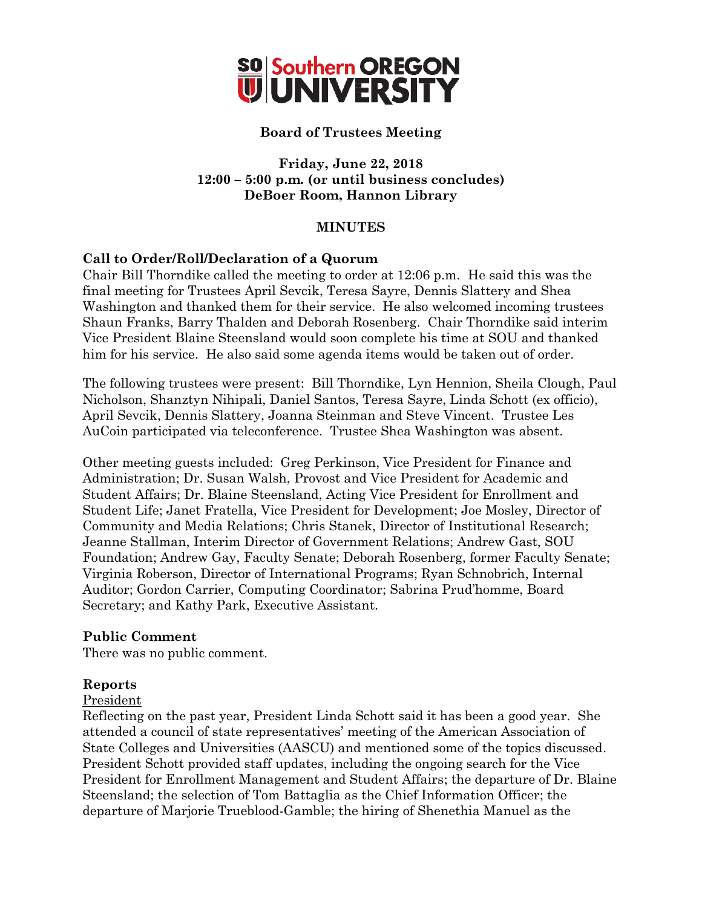

# **Board of Trustees Meeting**

# **Friday, June 22, 2018 12:00 – 5:00 p.m. (or until business concludes) DeBoer Room, Hannon Library**

## **MINUTES**

# **Call to Order/Roll/Declaration of a Quorum**

Chair Bill Thorndike called the meeting to order at 12:06 p.m. He said this was the final meeting for Trustees April Sevcik, Teresa Sayre, Dennis Slattery and Shea Washington and thanked them for their service. He also welcomed incoming trustees Shaun Franks, Barry Thalden and Deborah Rosenberg. Chair Thorndike said interim Vice President Blaine Steensland would soon complete his time at SOU and thanked him for his service. He also said some agenda items would be taken out of order.

The following trustees were present: Bill Thorndike, Lyn Hennion, Sheila Clough, Paul Nicholson, Shanztyn Nihipali, Daniel Santos, Teresa Sayre, Linda Schott (ex officio), April Sevcik, Dennis Slattery, Joanna Steinman and Steve Vincent. Trustee Les AuCoin participated via teleconference. Trustee Shea Washington was absent.

Other meeting guests included: Greg Perkinson, Vice President for Finance and Administration; Dr. Susan Walsh, Provost and Vice President for Academic and Student Affairs; Dr. Blaine Steensland, Acting Vice President for Enrollment and Student Life; Janet Fratella, Vice President for Development; Joe Mosley, Director of Community and Media Relations; Chris Stanek, Director of Institutional Research; Jeanne Stallman, Interim Director of Government Relations; Andrew Gast, SOU Foundation; Andrew Gay, Faculty Senate; Deborah Rosenberg, former Faculty Senate; Virginia Roberson, Director of International Programs; Ryan Schnobrich, Internal Auditor; Gordon Carrier, Computing Coordinator; Sabrina Prud'homme, Board Secretary; and Kathy Park, Executive Assistant.

### **Public Comment**

There was no public comment.

### **Reports**

### President

Reflecting on the past year, President Linda Schott said it has been a good year. She attended a council of state representatives' meeting of the American Association of State Colleges and Universities (AASCU) and mentioned some of the topics discussed. President Schott provided staff updates, including the ongoing search for the Vice President for Enrollment Management and Student Affairs; the departure of Dr. Blaine Steensland; the selection of Tom Battaglia as the Chief Information Officer; the departure of Marjorie Trueblood-Gamble; the hiring of Shenethia Manuel as the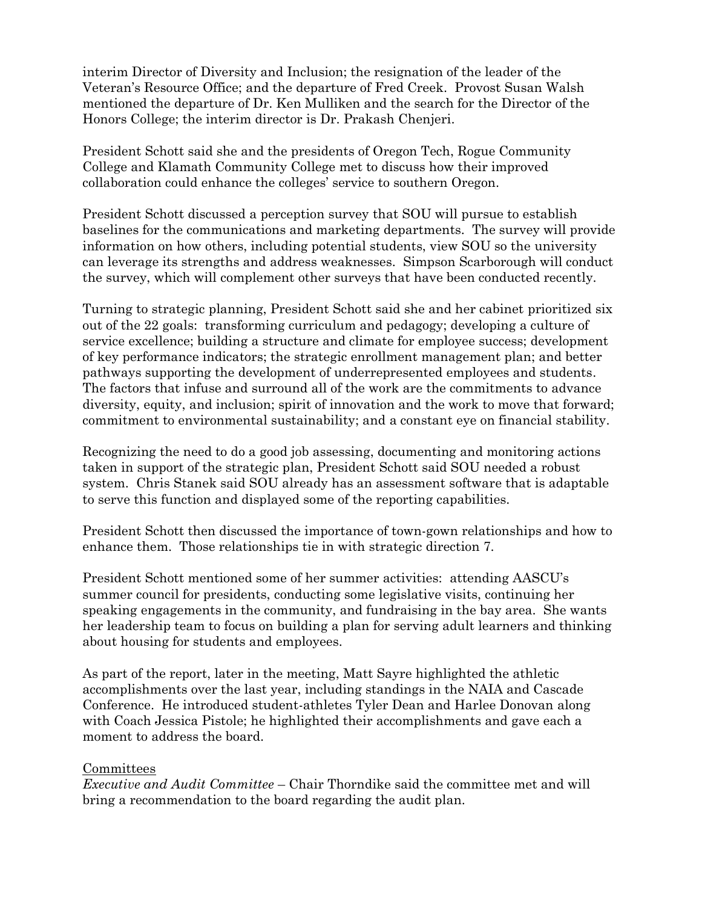interim Director of Diversity and Inclusion; the resignation of the leader of the Veteran's Resource Office; and the departure of Fred Creek. Provost Susan Walsh mentioned the departure of Dr. Ken Mulliken and the search for the Director of the Honors College; the interim director is Dr. Prakash Chenjeri.

President Schott said she and the presidents of Oregon Tech, Rogue Community College and Klamath Community College met to discuss how their improved collaboration could enhance the colleges' service to southern Oregon.

President Schott discussed a perception survey that SOU will pursue to establish baselines for the communications and marketing departments. The survey will provide information on how others, including potential students, view SOU so the university can leverage its strengths and address weaknesses. Simpson Scarborough will conduct the survey, which will complement other surveys that have been conducted recently.

Turning to strategic planning, President Schott said she and her cabinet prioritized six out of the 22 goals: transforming curriculum and pedagogy; developing a culture of service excellence; building a structure and climate for employee success; development of key performance indicators; the strategic enrollment management plan; and better pathways supporting the development of underrepresented employees and students. The factors that infuse and surround all of the work are the commitments to advance diversity, equity, and inclusion; spirit of innovation and the work to move that forward; commitment to environmental sustainability; and a constant eye on financial stability.

Recognizing the need to do a good job assessing, documenting and monitoring actions taken in support of the strategic plan, President Schott said SOU needed a robust system. Chris Stanek said SOU already has an assessment software that is adaptable to serve this function and displayed some of the reporting capabilities.

President Schott then discussed the importance of town-gown relationships and how to enhance them. Those relationships tie in with strategic direction 7.

President Schott mentioned some of her summer activities: attending AASCU's summer council for presidents, conducting some legislative visits, continuing her speaking engagements in the community, and fundraising in the bay area. She wants her leadership team to focus on building a plan for serving adult learners and thinking about housing for students and employees.

As part of the report, later in the meeting, Matt Sayre highlighted the athletic accomplishments over the last year, including standings in the NAIA and Cascade Conference. He introduced student-athletes Tyler Dean and Harlee Donovan along with Coach Jessica Pistole; he highlighted their accomplishments and gave each a moment to address the board.

### Committees

*Executive and Audit Committee* – Chair Thorndike said the committee met and will bring a recommendation to the board regarding the audit plan.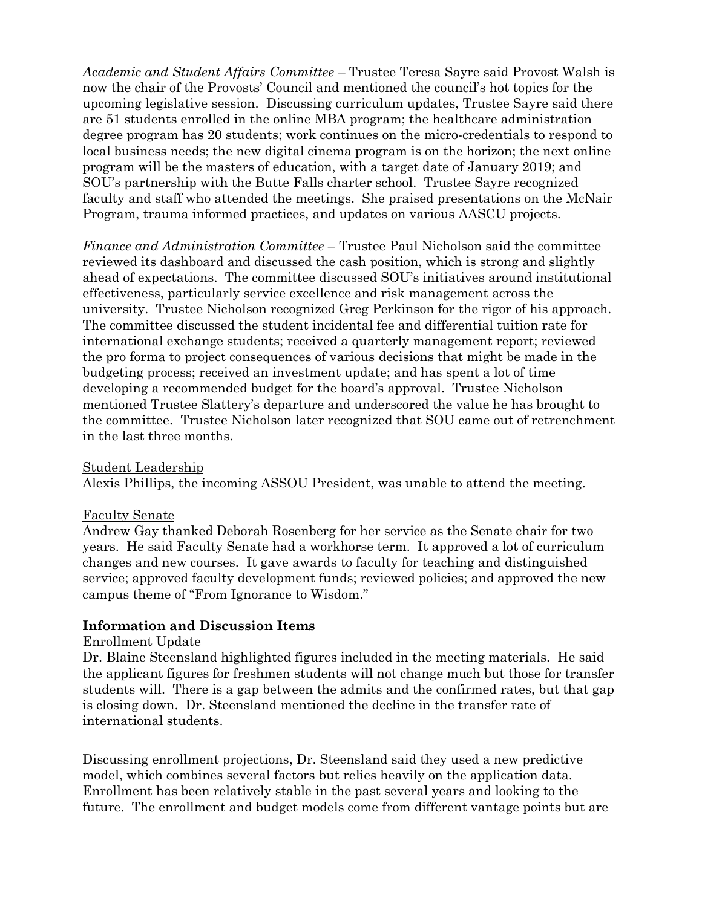*Academic and Student Affairs Committee* – Trustee Teresa Sayre said Provost Walsh is now the chair of the Provosts' Council and mentioned the council's hot topics for the upcoming legislative session. Discussing curriculum updates, Trustee Sayre said there are 51 students enrolled in the online MBA program; the healthcare administration degree program has 20 students; work continues on the micro-credentials to respond to local business needs; the new digital cinema program is on the horizon; the next online program will be the masters of education, with a target date of January 2019; and SOU's partnership with the Butte Falls charter school. Trustee Sayre recognized faculty and staff who attended the meetings. She praised presentations on the McNair Program, trauma informed practices, and updates on various AASCU projects.

*Finance and Administration Committee* – Trustee Paul Nicholson said the committee reviewed its dashboard and discussed the cash position, which is strong and slightly ahead of expectations. The committee discussed SOU's initiatives around institutional effectiveness, particularly service excellence and risk management across the university. Trustee Nicholson recognized Greg Perkinson for the rigor of his approach. The committee discussed the student incidental fee and differential tuition rate for international exchange students; received a quarterly management report; reviewed the pro forma to project consequences of various decisions that might be made in the budgeting process; received an investment update; and has spent a lot of time developing a recommended budget for the board's approval. Trustee Nicholson mentioned Trustee Slattery's departure and underscored the value he has brought to the committee. Trustee Nicholson later recognized that SOU came out of retrenchment in the last three months.

Student Leadership

Alexis Phillips, the incoming ASSOU President, was unable to attend the meeting.

### Faculty Senate

Andrew Gay thanked Deborah Rosenberg for her service as the Senate chair for two years. He said Faculty Senate had a workhorse term. It approved a lot of curriculum changes and new courses. It gave awards to faculty for teaching and distinguished service; approved faculty development funds; reviewed policies; and approved the new campus theme of "From Ignorance to Wisdom."

### **Information and Discussion Items**

#### Enrollment Update

Dr. Blaine Steensland highlighted figures included in the meeting materials. He said the applicant figures for freshmen students will not change much but those for transfer students will. There is a gap between the admits and the confirmed rates, but that gap is closing down. Dr. Steensland mentioned the decline in the transfer rate of international students.

Discussing enrollment projections, Dr. Steensland said they used a new predictive model, which combines several factors but relies heavily on the application data. Enrollment has been relatively stable in the past several years and looking to the future. The enrollment and budget models come from different vantage points but are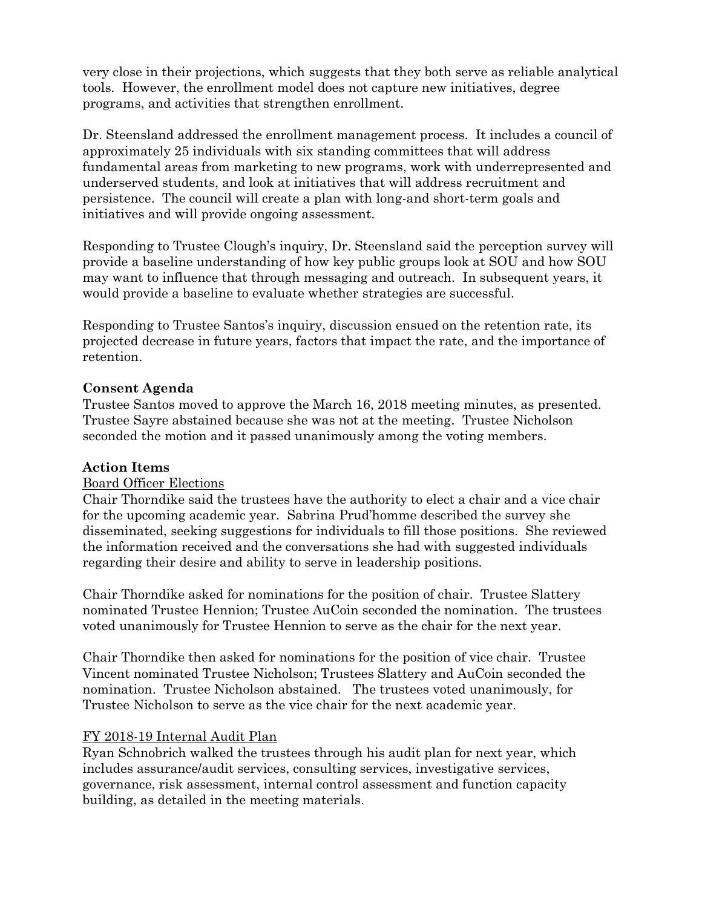very close in their projections, which suggests that they both serve as reliable analytical tools. However, the enrollment model does not capture new initiatives, degree programs, and activities that strengthen enrollment.

Dr. Steensland addressed the enrollment management process. It includes a council of approximately 25 individuals with six standing committees that will address fundamental areas from marketing to new programs, work with underrepresented and underserved students, and look at initiatives that will address recruitment and persistence. The council will create a plan with long-and short-term goals and initiatives and will provide ongoing assessment.

Responding to Trustee Clough's inquiry, Dr. Steensland said the perception survey will provide a baseline understanding of how key public groups look at SOU and how SOU may want to influence that through messaging and outreach. In subsequent years, it would provide a baseline to evaluate whether strategies are successful.

Responding to Trustee Santos's inquiry, discussion ensued on the retention rate, its projected decrease in future years, factors that impact the rate, and the importance of retention.

## **Consent Agenda**

Trustee Santos moved to approve the March 16, 2018 meeting minutes, as presented. Trustee Sayre abstained because she was not at the meeting. Trustee Nicholson seconded the motion and it passed unanimously among the voting members.

### **Action Items**

### Board Officer Elections

Chair Thorndike said the trustees have the authority to elect a chair and a vice chair for the upcoming academic year. Sabrina Prud'homme described the survey she disseminated, seeking suggestions for individuals to fill those positions. She reviewed the information received and the conversations she had with suggested individuals regarding their desire and ability to serve in leadership positions.

Chair Thorndike asked for nominations for the position of chair. Trustee Slattery nominated Trustee Hennion; Trustee AuCoin seconded the nomination. The trustees voted unanimously for Trustee Hennion to serve as the chair for the next year.

Chair Thorndike then asked for nominations for the position of vice chair. Trustee Vincent nominated Trustee Nicholson; Trustees Slattery and AuCoin seconded the nomination. Trustee Nicholson abstained. The trustees voted unanimously, for Trustee Nicholson to serve as the vice chair for the next academic year.

### FY 2018-19 Internal Audit Plan

Ryan Schnobrich walked the trustees through his audit plan for next year, which includes assurance/audit services, consulting services, investigative services, governance, risk assessment, internal control assessment and function capacity building, as detailed in the meeting materials.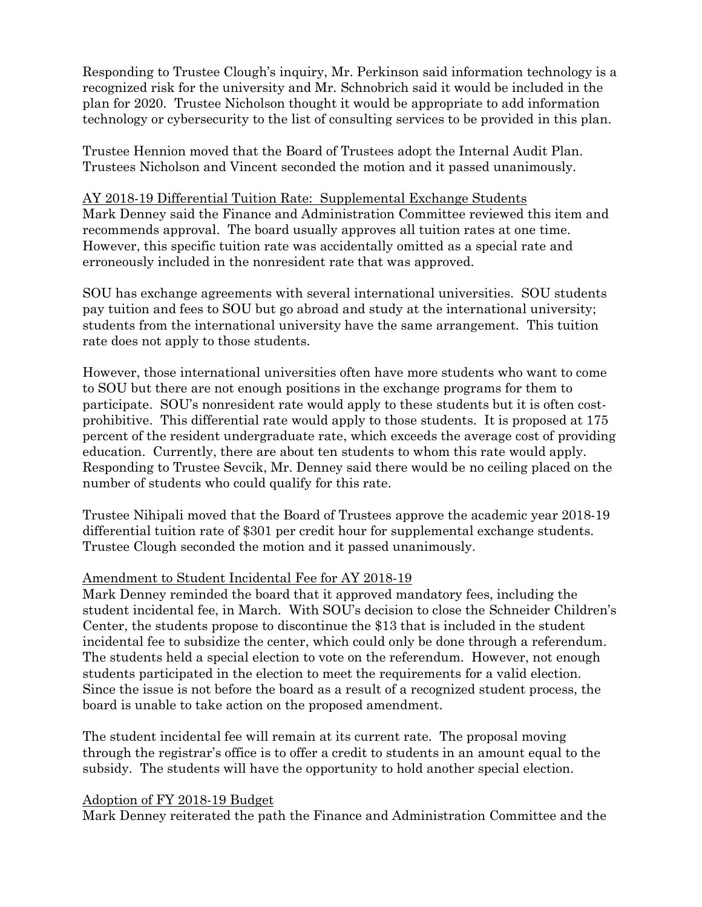Responding to Trustee Clough's inquiry, Mr. Perkinson said information technology is a recognized risk for the university and Mr. Schnobrich said it would be included in the plan for 2020. Trustee Nicholson thought it would be appropriate to add information technology or cybersecurity to the list of consulting services to be provided in this plan.

Trustee Hennion moved that the Board of Trustees adopt the Internal Audit Plan. Trustees Nicholson and Vincent seconded the motion and it passed unanimously.

### AY 2018-19 Differential Tuition Rate: Supplemental Exchange Students

Mark Denney said the Finance and Administration Committee reviewed this item and recommends approval. The board usually approves all tuition rates at one time. However, this specific tuition rate was accidentally omitted as a special rate and erroneously included in the nonresident rate that was approved.

SOU has exchange agreements with several international universities. SOU students pay tuition and fees to SOU but go abroad and study at the international university; students from the international university have the same arrangement. This tuition rate does not apply to those students.

However, those international universities often have more students who want to come to SOU but there are not enough positions in the exchange programs for them to participate. SOU's nonresident rate would apply to these students but it is often costprohibitive. This differential rate would apply to those students. It is proposed at 175 percent of the resident undergraduate rate, which exceeds the average cost of providing education. Currently, there are about ten students to whom this rate would apply. Responding to Trustee Sevcik, Mr. Denney said there would be no ceiling placed on the number of students who could qualify for this rate.

Trustee Nihipali moved that the Board of Trustees approve the academic year 2018-19 differential tuition rate of \$301 per credit hour for supplemental exchange students. Trustee Clough seconded the motion and it passed unanimously.

### Amendment to Student Incidental Fee for AY 2018-19

Mark Denney reminded the board that it approved mandatory fees, including the student incidental fee, in March. With SOU's decision to close the Schneider Children's Center, the students propose to discontinue the \$13 that is included in the student incidental fee to subsidize the center, which could only be done through a referendum. The students held a special election to vote on the referendum. However, not enough students participated in the election to meet the requirements for a valid election. Since the issue is not before the board as a result of a recognized student process, the board is unable to take action on the proposed amendment.

The student incidental fee will remain at its current rate. The proposal moving through the registrar's office is to offer a credit to students in an amount equal to the subsidy. The students will have the opportunity to hold another special election.

### Adoption of FY 2018-19 Budget

Mark Denney reiterated the path the Finance and Administration Committee and the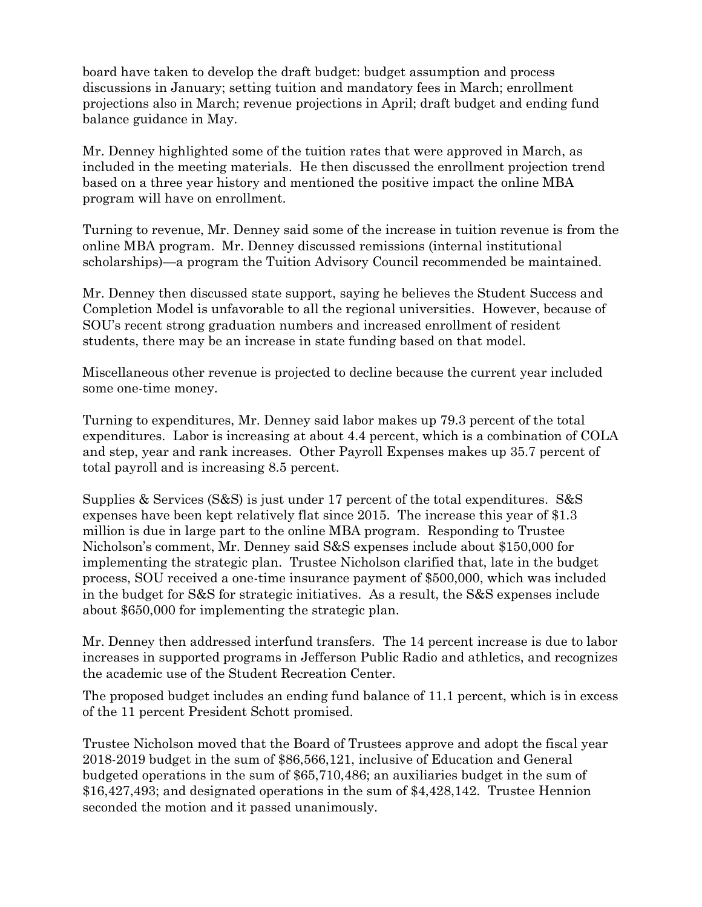board have taken to develop the draft budget: budget assumption and process discussions in January; setting tuition and mandatory fees in March; enrollment projections also in March; revenue projections in April; draft budget and ending fund balance guidance in May.

Mr. Denney highlighted some of the tuition rates that were approved in March, as included in the meeting materials. He then discussed the enrollment projection trend based on a three year history and mentioned the positive impact the online MBA program will have on enrollment.

Turning to revenue, Mr. Denney said some of the increase in tuition revenue is from the online MBA program. Mr. Denney discussed remissions (internal institutional scholarships)—a program the Tuition Advisory Council recommended be maintained.

Mr. Denney then discussed state support, saying he believes the Student Success and Completion Model is unfavorable to all the regional universities. However, because of SOU's recent strong graduation numbers and increased enrollment of resident students, there may be an increase in state funding based on that model.

Miscellaneous other revenue is projected to decline because the current year included some one-time money.

Turning to expenditures, Mr. Denney said labor makes up 79.3 percent of the total expenditures. Labor is increasing at about 4.4 percent, which is a combination of COLA and step, year and rank increases. Other Payroll Expenses makes up 35.7 percent of total payroll and is increasing 8.5 percent.

Supplies & Services (S&S) is just under 17 percent of the total expenditures. S&S expenses have been kept relatively flat since 2015. The increase this year of \$1.3 million is due in large part to the online MBA program. Responding to Trustee Nicholson's comment, Mr. Denney said S&S expenses include about \$150,000 for implementing the strategic plan. Trustee Nicholson clarified that, late in the budget process, SOU received a one-time insurance payment of \$500,000, which was included in the budget for S&S for strategic initiatives. As a result, the S&S expenses include about \$650,000 for implementing the strategic plan.

Mr. Denney then addressed interfund transfers. The 14 percent increase is due to labor increases in supported programs in Jefferson Public Radio and athletics, and recognizes the academic use of the Student Recreation Center.

The proposed budget includes an ending fund balance of 11.1 percent, which is in excess of the 11 percent President Schott promised.

Trustee Nicholson moved that the Board of Trustees approve and adopt the fiscal year 2018-2019 budget in the sum of \$86,566,121, inclusive of Education and General budgeted operations in the sum of \$65,710,486; an auxiliaries budget in the sum of \$16,427,493; and designated operations in the sum of \$4,428,142. Trustee Hennion seconded the motion and it passed unanimously.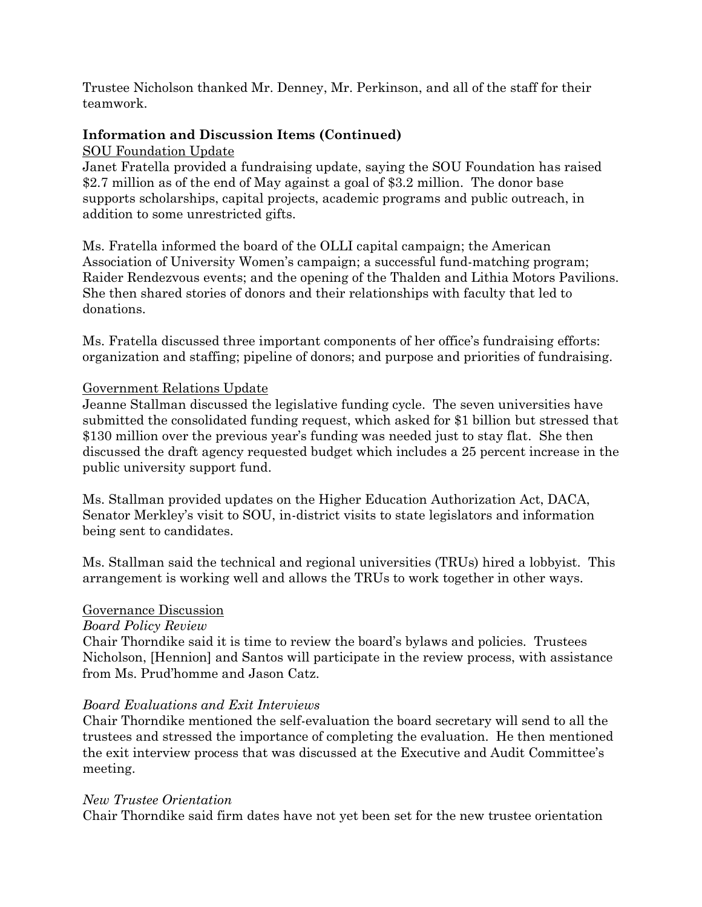Trustee Nicholson thanked Mr. Denney, Mr. Perkinson, and all of the staff for their teamwork.

# **Information and Discussion Items (Continued)**

#### SOU Foundation Update

Janet Fratella provided a fundraising update, saying the SOU Foundation has raised \$2.7 million as of the end of May against a goal of \$3.2 million. The donor base supports scholarships, capital projects, academic programs and public outreach, in addition to some unrestricted gifts.

Ms. Fratella informed the board of the OLLI capital campaign; the American Association of University Women's campaign; a successful fund-matching program; Raider Rendezvous events; and the opening of the Thalden and Lithia Motors Pavilions. She then shared stories of donors and their relationships with faculty that led to donations.

Ms. Fratella discussed three important components of her office's fundraising efforts: organization and staffing; pipeline of donors; and purpose and priorities of fundraising.

### Government Relations Update

Jeanne Stallman discussed the legislative funding cycle. The seven universities have submitted the consolidated funding request, which asked for \$1 billion but stressed that \$130 million over the previous year's funding was needed just to stay flat. She then discussed the draft agency requested budget which includes a 25 percent increase in the public university support fund.

Ms. Stallman provided updates on the Higher Education Authorization Act, DACA, Senator Merkley's visit to SOU, in-district visits to state legislators and information being sent to candidates.

Ms. Stallman said the technical and regional universities (TRUs) hired a lobbyist. This arrangement is working well and allows the TRUs to work together in other ways.

### Governance Discussion

#### *Board Policy Review*

Chair Thorndike said it is time to review the board's bylaws and policies. Trustees Nicholson, [Hennion] and Santos will participate in the review process, with assistance from Ms. Prud'homme and Jason Catz.

### *Board Evaluations and Exit Interviews*

Chair Thorndike mentioned the self-evaluation the board secretary will send to all the trustees and stressed the importance of completing the evaluation. He then mentioned the exit interview process that was discussed at the Executive and Audit Committee's meeting.

#### *New Trustee Orientation*

Chair Thorndike said firm dates have not yet been set for the new trustee orientation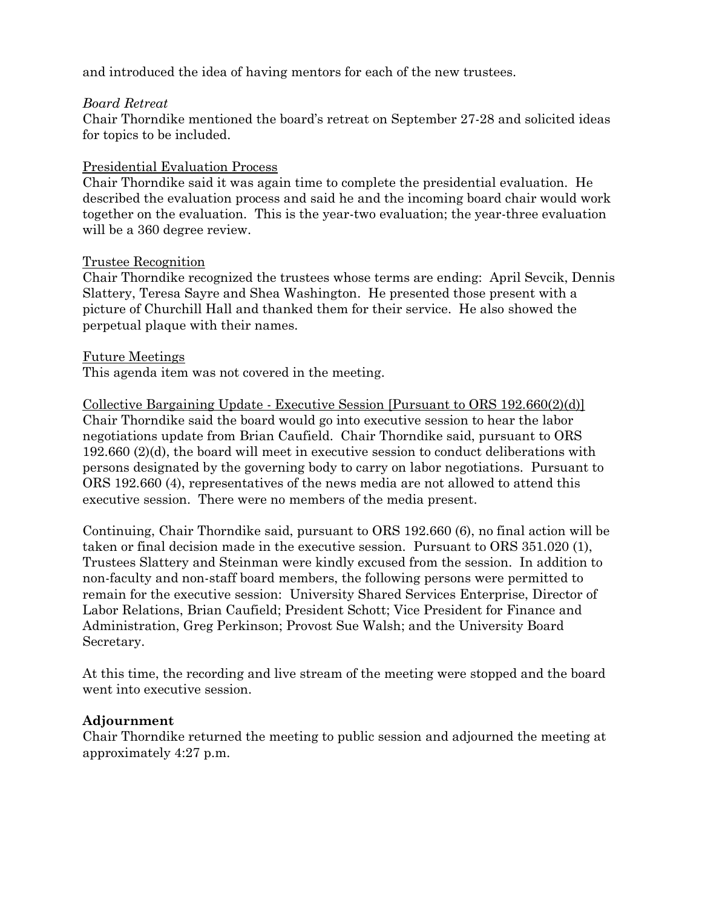and introduced the idea of having mentors for each of the new trustees.

### *Board Retreat*

Chair Thorndike mentioned the board's retreat on September 27-28 and solicited ideas for topics to be included.

## Presidential Evaluation Process

Chair Thorndike said it was again time to complete the presidential evaluation. He described the evaluation process and said he and the incoming board chair would work together on the evaluation. This is the year-two evaluation; the year-three evaluation will be a 360 degree review.

### Trustee Recognition

Chair Thorndike recognized the trustees whose terms are ending: April Sevcik, Dennis Slattery, Teresa Sayre and Shea Washington. He presented those present with a picture of Churchill Hall and thanked them for their service. He also showed the perpetual plaque with their names.

### Future Meetings

This agenda item was not covered in the meeting.

Collective Bargaining Update - Executive Session [Pursuant to ORS 192.660(2)(d)] Chair Thorndike said the board would go into executive session to hear the labor negotiations update from Brian Caufield. Chair Thorndike said, pursuant to ORS 192.660 (2)(d), the board will meet in executive session to conduct deliberations with persons designated by the governing body to carry on labor negotiations. Pursuant to ORS 192.660 (4), representatives of the news media are not allowed to attend this executive session. There were no members of the media present.

Continuing, Chair Thorndike said, pursuant to ORS 192.660 (6), no final action will be taken or final decision made in the executive session. Pursuant to ORS 351.020 (1), Trustees Slattery and Steinman were kindly excused from the session. In addition to non-faculty and non-staff board members, the following persons were permitted to remain for the executive session: University Shared Services Enterprise, Director of Labor Relations, Brian Caufield; President Schott; Vice President for Finance and Administration, Greg Perkinson; Provost Sue Walsh; and the University Board Secretary.

At this time, the recording and live stream of the meeting were stopped and the board went into executive session.

### **Adjournment**

Chair Thorndike returned the meeting to public session and adjourned the meeting at approximately 4:27 p.m.